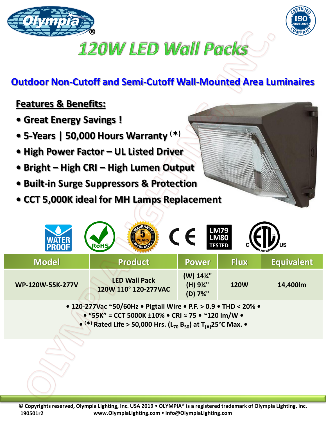



## **120W LED Wall Packs**

## **Outdoor Non-Cutoff and Semi-Cutoff Wall-Mounted Area Luminaires**

## **Features & Benefits:**

- **Great Energy Savings !**
- **5-Years | 50,000 Hours Warranty ()**
- **High Power Factor – UL Listed Driver**
- **Bright – High CRI – High Lumen Output**
- **Built-in Surge Suppressors & Protection**
- **CCT 5,000K ideal for MH Lamps Replacement**

|                  | <b>RoHS</b>                                  |                                | <b>LM79<br/>LM80</b><br><b>TESTED</b> | US                |
|------------------|----------------------------------------------|--------------------------------|---------------------------------------|-------------------|
| <b>Model</b>     | <b>Product</b>                               | <b>Power</b>                   | <b>Flux</b>                           | <b>Equivalent</b> |
| WP-120W-55K-277V | <b>LED Wall Pack</b><br>120W 110° 120-277VAC | (W) 14%"<br>(H) 9%"<br>(D) 7%" | <b>120W</b>                           | 14,400lm          |

**• 120-277Vac ~50/60Hz • Pigtail Wire • P.F. > 0.9 • THD < 20% • • "55K" = CCT 5000K ±10% • CRI ≈ 75 • ~120 lm/W • • () Rated Life > 50,000 Hrs. (L<sup>70</sup> B50) at T[A]25°C Max. •**

**© Copyrights reserved, Olympia Lighting, Inc. USA 2019 OLYMPIA® is a registered trademark of Olympia Lighting, inc. www.OlympiaLighting.com info@OlympiaLighting.com 190501r2**